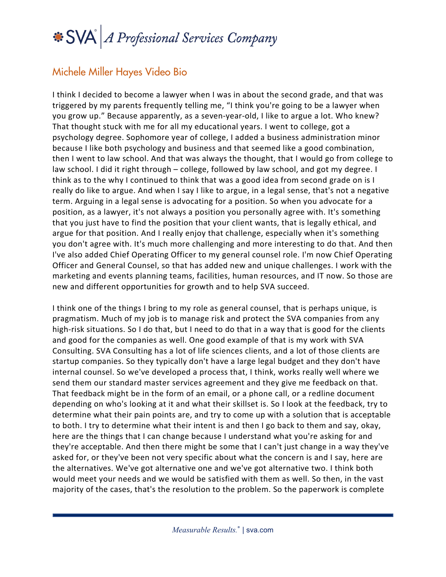## SVA A Professional Services Company

## Michele Miller Hayes Video Bio

I think I decided to become a lawyer when I was in about the second grade, and that was triggered by my parents frequently telling me, "I think you're going to be a lawyer when you grow up." Because apparently, as a seven-year-old, I like to argue a lot. Who knew? That thought stuck with me for all my educational years. I went to college, got a psychology degree. Sophomore year of college, I added a business administration minor because I like both psychology and business and that seemed like a good combination, then I went to law school. And that was always the thought, that I would go from college to law school. I did it right through – college, followed by law school, and got my degree. I think as to the why I continued to think that was a good idea from second grade on is I really do like to argue. And when I say I like to argue, in a legal sense, that's not a negative term. Arguing in a legal sense is advocating for a position. So when you advocate for a position, as a lawyer, it's not always a position you personally agree with. It's something that you just have to find the position that your client wants, that is legally ethical, and argue for that position. And I really enjoy that challenge, especially when it's something you don't agree with. It's much more challenging and more interesting to do that. And then I've also added Chief Operating Officer to my general counsel role. I'm now Chief Operating Officer and General Counsel, so that has added new and unique challenges. I work with the marketing and events planning teams, facilities, human resources, and IT now. So those are new and different opportunities for growth and to help SVA succeed.

I think one of the things I bring to my role as general counsel, that is perhaps unique, is pragmatism. Much of my job is to manage risk and protect the SVA companies from any high-risk situations. So I do that, but I need to do that in a way that is good for the clients and good for the companies as well. One good example of that is my work with SVA Consulting. SVA Consulting has a lot of life sciences clients, and a lot of those clients are startup companies. So they typically don't have a large legal budget and they don't have internal counsel. So we've developed a process that, I think, works really well where we send them our standard master services agreement and they give me feedback on that. That feedback might be in the form of an email, or a phone call, or a redline document depending on who's looking at it and what their skillset is. So I look at the feedback, try to determine what their pain points are, and try to come up with a solution that is acceptable to both. I try to determine what their intent is and then I go back to them and say, okay, here are the things that I can change because I understand what you're asking for and they're acceptable. And then there might be some that I can't just change in a way they've asked for, or they've been not very specific about what the concern is and I say, here are the alternatives. We've got alternative one and we've got alternative two. I think both would meet your needs and we would be satisfied with them as well. So then, in the vast majority of the cases, that's the resolution to the problem. So the paperwork is complete